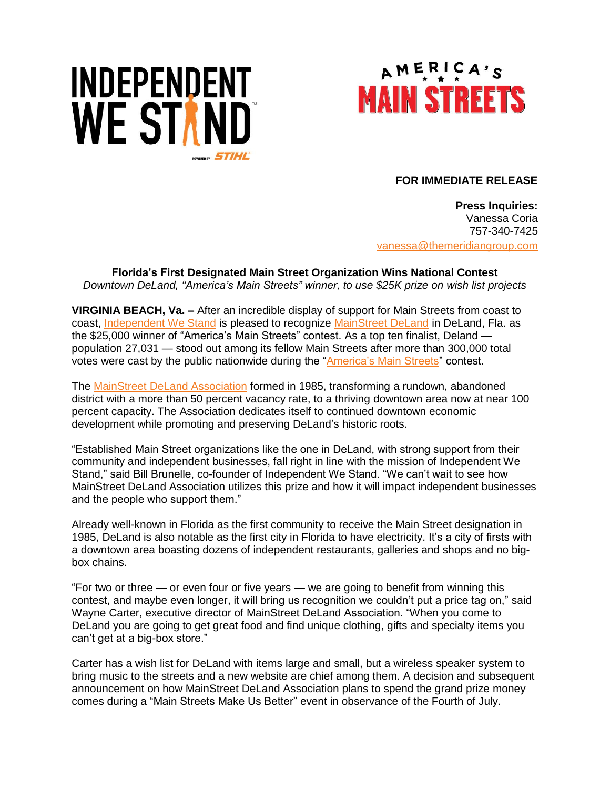



## **FOR IMMEDIATE RELEASE**

**Press Inquiries:** Vanessa Coria 757-340-7425 [vanessa@themeridiangroup.com](mailto:vanessa@themeridiangroup.com)

**Florida's First Designated Main Street Organization Wins National Contest**  *Downtown DeLand, "America's Main Streets" winner, to use \$25K prize on wish list projects* 

**VIRGINIA BEACH, Va. –** After an incredible display of support for Main Streets from coast to coast, [Independent We Stand](http://www.independentwestand.org/) is pleased to recognize [MainStreet DeLand](http://www.mainstreetcontest.com/profile.php?id=207) in DeLand, Fla. as the \$25,000 winner of "America's Main Streets" contest. As a top ten finalist, Deland population 27,031 — stood out among its fellow Main Streets after more than 300,000 total votes were cast by the public nationwide during the ["America's Main Streets"](http://www.mainstreetcontest.com/) contest.

The [MainStreet DeLand](https://mainstreetdeland.org/) Association formed in 1985, transforming a rundown, abandoned district with a more than 50 percent vacancy rate, to a thriving downtown area now at near 100 percent capacity. The Association dedicates itself to continued downtown economic development while promoting and preserving DeLand's historic roots.

"Established Main Street organizations like the one in DeLand, with strong support from their community and independent businesses, fall right in line with the mission of Independent We Stand," said Bill Brunelle, co-founder of Independent We Stand. "We can't wait to see how MainStreet DeLand Association utilizes this prize and how it will impact independent businesses and the people who support them."

Already well-known in Florida as the first community to receive the Main Street designation in 1985, DeLand is also notable as the first city in Florida to have electricity. It's a city of firsts with a downtown area boasting dozens of independent restaurants, galleries and shops and no bigbox chains.

"For two or three — or even four or five years — we are going to benefit from winning this contest, and maybe even longer, it will bring us recognition we couldn't put a price tag on," said Wayne Carter, executive director of MainStreet DeLand Association. "When you come to DeLand you are going to get great food and find unique clothing, gifts and specialty items you can't get at a big-box store."

Carter has a wish list for DeLand with items large and small, but a wireless speaker system to bring music to the streets and a new website are chief among them. A decision and subsequent announcement on how MainStreet DeLand Association plans to spend the grand prize money comes during a "Main Streets Make Us Better" event in observance of the Fourth of July.